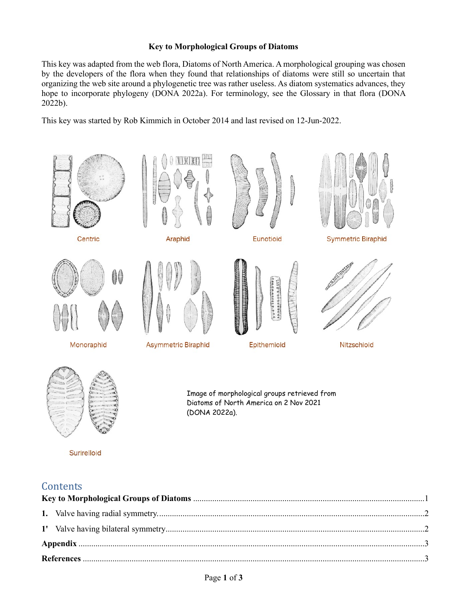## **Key to Morphological Groups of Diatoms**

This key was adapted from the web flora, Diatoms of North America. A morphological grouping was chosen by the developers of the flora when they found that relationships of diatoms were still so uncertain that organizing the web site around a phylogenetic tree was rather useless. As diatom systematics advances, they hope to incorporate phylogeny (DONA 2022a). For terminology, see the Glossary in that flora (DONA 2022b).

This key was started by Rob Kimmich in October 2014 and last revised on 12-Jun-2022.





Surirelloid

Image of morphological groups retrieved from Diatoms of North America on 2 Nov 2021 (DONA 2022a).

# **Contents**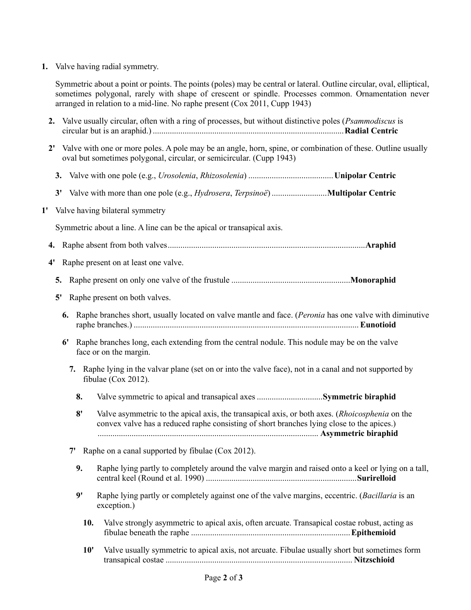**1.** Valve having radial symmetry.

Symmetric about a point or points. The points (poles) may be central or lateral. Outline circular, oval, elliptical, sometimes polygonal, rarely with shape of crescent or spindle. Processes common. Ornamentation never arranged in relation to a mid-line. No raphe present (Cox 2011, Cupp 1943)

- **2.** Valve usually circular, often with a ring of processes, but without distinctive poles (*Psammodiscus* is circular but is an araphid.) ..........................................................................................**Radial Centric**
- **2'** Valve with one or more poles. A pole may be an angle, horn, spine, or combination of these. Outline usually oval but sometimes polygonal, circular, or semicircular. (Cupp 1943)
	- **3.** Valve with one pole (e.g., *Urosolenia*, *Rhizosolenia*) ........................................**Unipolar Centric**
	- **3'** Valve with more than one pole (e.g., *Hydrosera*, *Terpsinoë*) ..........................**Multipolar Centric**
- **1'** Valve having bilateral symmetry

Symmetric about a line. A line can be the apical or transapical axis.

- **4.** Raphe absent from both valves.............................................................................................**Araphid**
- **4'** Raphe present on at least one valve.
	- **5.** Raphe present on only one valve of the frustule ........................................................**Monoraphid**
	- **5'** Raphe present on both valves.
		- **6.** Raphe branches short, usually located on valve mantle and face. (*Peronia* has one valve with diminutive raphe branches.) .......................................................................................................... **Eunotioid**
		- **6'** Raphe branches long, each extending from the central nodule. This nodule may be on the valve face or on the margin.
			- **7.** Raphe lying in the valvar plane (set on or into the valve face), not in a canal and not supported by fibulae (Cox 2012).
				- **8.** Valve symmetric to apical and transapical axes ...............................**Symmetric biraphid**
				- **8'** Valve asymmetric to the apical axis, the transapical axis, or both axes. (*Rhoicosphenia* on the convex valve has a reduced raphe consisting of short branches lying close to the apices.) ........................................................................................................ **Asymmetric biraphid**
			- **7'** Raphe on a canal supported by fibulae (Cox 2012).
				- **9.** Raphe lying partly to completely around the valve margin and raised onto a keel or lying on a tall, central keel (Round et al. 1990) .......................................................................**Surirelloid**
				- **9'** Raphe lying partly or completely against one of the valve margins, eccentric. (*Bacillaria* is an exception.)
					- **10.** Valve strongly asymmetric to apical axis, often arcuate. Transapical costae robust, acting as fibulae beneath the raphe ...........................................................................**Epithemioid**
					- **10'** Valve usually symmetric to apical axis, not arcuate. Fibulae usually short but sometimes form transapical costae ........................................................................................ **Nitzschioid**